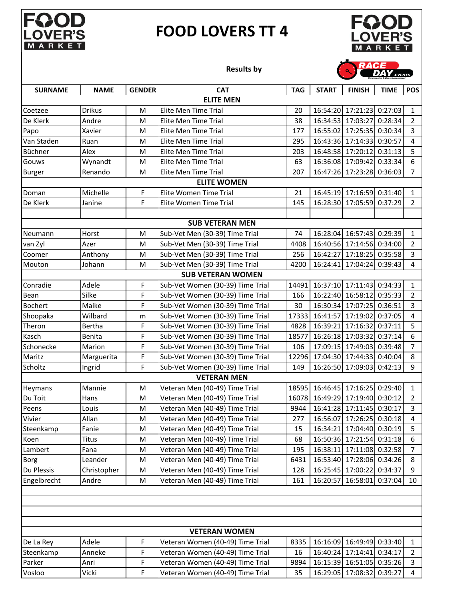

## **FOOD LOVERS TT 4**



## **Results by**

|                |               |               |                                  |            |              |                           | <b>DEAL</b> EVENTS |                         |  |
|----------------|---------------|---------------|----------------------------------|------------|--------------|---------------------------|--------------------|-------------------------|--|
| <b>SURNAME</b> | <b>NAME</b>   | <b>GENDER</b> | <b>CAT</b>                       | <b>TAG</b> | <b>START</b> | <b>FINISH</b>             | <b>TIME</b>        | <b>POS</b>              |  |
|                |               |               | <b>ELITE MEN</b>                 |            |              |                           |                    |                         |  |
| Coetzee        | <b>Drikus</b> | M             | Elite Men Time Trial             | 20         | 16:54:20     | 17:21:23 0:27:03          |                    | $\mathbf{1}$            |  |
| De Klerk       | Andre         | M             | Elite Men Time Trial             | 38         | 16:34:53     | 17:03:27                  | 0:28:34            | $\overline{2}$          |  |
| Papo           | Xavier        | M             | Elite Men Time Trial             | 177        |              | 16:55:02 17:25:35 0:30:34 |                    | $\overline{3}$          |  |
| Van Staden     | Ruan          | M             | Elite Men Time Trial             | 295        |              | 16:43:36 17:14:33 0:30:57 |                    | $\overline{\mathbf{4}}$ |  |
| Büchner        | Alex          | M             | Elite Men Time Trial             | 203        | 16:48:58     | 17:20:12 0:31:13          |                    | 5                       |  |
| Gouws          | Wynandt       | M             | Elite Men Time Trial             | 63         |              | 16:36:08 17:09:42 0:33:34 |                    | $\boldsymbol{6}$        |  |
| <b>Burger</b>  | Renando       | M             | Elite Men Time Trial             | 207        |              | 16:47:26 17:23:28 0:36:03 |                    | $\overline{7}$          |  |
|                |               |               | <b>ELITE WOMEN</b>               |            |              |                           |                    |                         |  |
| Doman          | Michelle      | F             | Elite Women Time Trial           | 21         | 16:45:19     | 17:16:59 0:31:40          |                    | $\mathbf{1}$            |  |
| De Klerk       | Janine        | F             | Elite Women Time Trial           | 145        | 16:28:30     | 17:05:59 0:37:29          |                    | $\overline{2}$          |  |
|                |               |               |                                  |            |              |                           |                    |                         |  |
|                |               |               | <b>SUB VETERAN MEN</b>           |            |              |                           |                    |                         |  |
| Neumann        | Horst         | M             | Sub-Vet Men (30-39) Time Trial   | 74         |              | 16:28:04 16:57:43 0:29:39 |                    | $1\,$                   |  |
| van Zyl        | Azer          | M             | Sub-Vet Men (30-39) Time Trial   | 4408       |              | 16:40:56 17:14:56 0:34:00 |                    | $\overline{2}$          |  |
| Coomer         | Anthony       | M             | Sub-Vet Men (30-39) Time Trial   | 256        | 16:42:27     | 17:18:25 0:35:58          |                    | 3                       |  |
| Mouton         | Johann        | M             | Sub-Vet Men (30-39) Time Trial   | 4200       | 16:24:41     | 17:04:24 0:39:43          |                    | $\overline{4}$          |  |
|                |               |               | <b>SUB VETERAN WOMEN</b>         |            |              |                           |                    |                         |  |
| Conradie       | Adele         | F             | Sub-Vet Women (30-39) Time Trial | 14491      |              | 16:37:10 17:11:43 0:34:33 |                    | $\mathbf{1}$            |  |
| Bean           | Silke         | F             | Sub-Vet Women (30-39) Time Trial | 166        | 16:22:40     | 16:58:12 0:35:33          |                    | $\overline{2}$          |  |
| <b>Bochert</b> | Maike         | F             | Sub-Vet Women (30-39) Time Trial | 30         |              | 16:30:34 17:07:25 0:36:51 |                    | 3                       |  |
| Shoopaka       | Wilbard       | m             | Sub-Vet Women (30-39) Time Trial | 17333      | 16:41:57     | 17:19:02 0:37:05          |                    | $\pmb{4}$               |  |
| Theron         | Bertha        | F             | Sub-Vet Women (30-39) Time Trial | 4828       | 16:39:21     | 17:16:32 0:37:11          |                    | 5                       |  |
| Kasch          | Benita        | F             | Sub-Vet Women (30-39) Time Trial | 18577      | 16:26:18     | 17:03:32 0:37:14          |                    | 6                       |  |
| Schonecke      | Marion        | F             | Sub-Vet Women (30-39) Time Trial | 106        | 17:09:15     | 17:49:03 0:39:48          |                    | $\overline{7}$          |  |
| Maritz         | Marguerita    | F             | Sub-Vet Women (30-39) Time Trial | 12296      | 17:04:30     | 17:44:33 0:40:04          |                    | 8                       |  |
| Scholtz        | Ingrid        | F             | Sub-Vet Women (30-39) Time Trial | 149        | 16:26:50     | 17:09:03 0:42:13          |                    | 9                       |  |
|                |               |               | <b>VETERAN MEN</b>               |            |              |                           |                    |                         |  |
| Heymans        | Mannie        | M             | Veteran Men (40-49) Time Trial   | 18595      |              | 16:46:45 17:16:25 0:29:40 |                    | $1\,$                   |  |
| Du Toit        | Hans          | M             | Veteran Men (40-49) Time Trial   | 16078      | 16:49:29     | 17:19:40 0:30:12          |                    | $\overline{2}$          |  |
| Peens          | Louis         | M             | Veteran Men (40-49) Time Trial   | 9944       |              | 16:41:28 17:11:45 0:30:17 |                    | $\overline{3}$          |  |
| Vivier         | Allan         | M             | Veteran Men (40-49) Time Trial   | 277        |              | 16:56:07 17:26:25 0:30:18 |                    | 4                       |  |
| Steenkamp      | Fanie         | M             | Veteran Men (40-49) Time Trial   | 15         |              | 16:34:21 17:04:40 0:30:19 |                    | 5                       |  |
| Koen           | <b>Titus</b>  | M             | Veteran Men (40-49) Time Trial   | 68         |              | 16:50:36 17:21:54 0:31:18 |                    | 6                       |  |
| Lambert        | Fana          | M             | Veteran Men (40-49) Time Trial   | 195        |              | 16:38:11 17:11:08 0:32:58 |                    | $\overline{7}$          |  |
| <b>Borg</b>    | Leander       | M             | Veteran Men (40-49) Time Trial   | 6431       |              | 16:53:40 17:28:06 0:34:26 |                    | 8                       |  |
| Du Plessis     | Christopher   | M             | Veteran Men (40-49) Time Trial   | 128        | 16:25:45     | 17:00:22 0:34:37          |                    | 9                       |  |
| Engelbrecht    | Andre         | M             | Veteran Men (40-49) Time Trial   | 161        | 16:20:57     | 16:58:01                  | 0:37:04            | 10                      |  |
|                |               |               |                                  |            |              |                           |                    |                         |  |
|                |               |               |                                  |            |              |                           |                    |                         |  |
|                |               |               |                                  |            |              |                           |                    |                         |  |
|                |               |               |                                  |            |              |                           |                    |                         |  |
|                |               |               | <b>VETERAN WOMEN</b>             |            |              |                           |                    |                         |  |
| De La Rey      | Adele         | F             | Veteran Women (40-49) Time Trial | 8335       | 16:16:09     | 16:49:49 0:33:40          |                    | $\mathbf{1}$            |  |
| Steenkamp      | Anneke        | F             | Veteran Women (40-49) Time Trial | 16         |              | 16:40:24 17:14:41 0:34:17 |                    | $\overline{2}$          |  |
| Parker         | Anri          | F             | Veteran Women (40-49) Time Trial | 9894       |              | 16:15:39 16:51:05 0:35:26 |                    | $\overline{3}$          |  |

Vosloo Vicki F Veteran Women (40-49) Time Trial 35 16:29:05 17:08:32 0:39:27 4